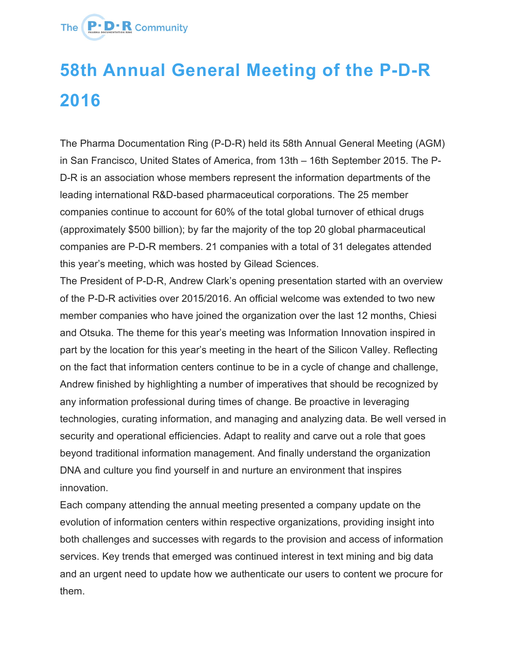

## **58th Annual General Meeting of the P-D-R 2016**

The Pharma Documentation Ring (P-D-R) held its 58th Annual General Meeting (AGM) in San Francisco, United States of America, from 13th – 16th September 2015. The P-D-R is an association whose members represent the information departments of the leading international R&D-based pharmaceutical corporations. The 25 member companies continue to account for 60% of the total global turnover of ethical drugs (approximately \$500 billion); by far the majority of the top 20 global pharmaceutical companies are P-D-R members. 21 companies with a total of 31 delegates attended this year's meeting, which was hosted by Gilead Sciences.

The President of P-D-R, Andrew Clark's opening presentation started with an overview of the P-D-R activities over 2015/2016. An official welcome was extended to two new member companies who have joined the organization over the last 12 months, Chiesi and Otsuka. The theme for this year's meeting was Information Innovation inspired in part by the location for this year's meeting in the heart of the Silicon Valley. Reflecting on the fact that information centers continue to be in a cycle of change and challenge, Andrew finished by highlighting a number of imperatives that should be recognized by any information professional during times of change. Be proactive in leveraging technologies, curating information, and managing and analyzing data. Be well versed in security and operational efficiencies. Adapt to reality and carve out a role that goes beyond traditional information management. And finally understand the organization DNA and culture you find yourself in and nurture an environment that inspires innovation.

Each company attending the annual meeting presented a company update on the evolution of information centers within respective organizations, providing insight into both challenges and successes with regards to the provision and access of information services. Key trends that emerged was continued interest in text mining and big data and an urgent need to update how we authenticate our users to content we procure for them.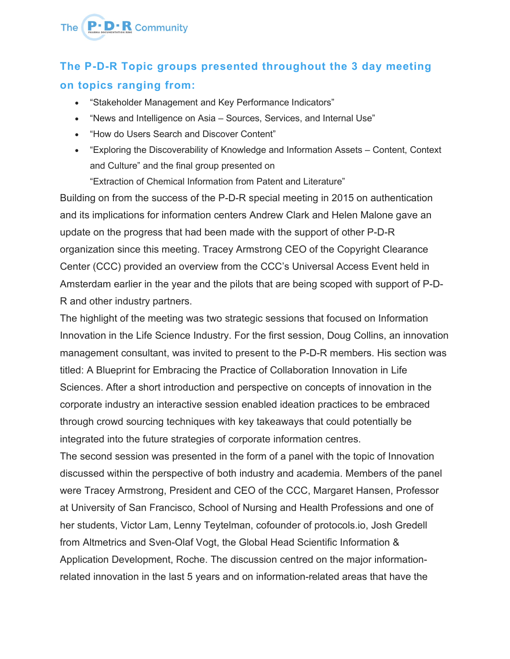## The **P.D.R** Community

## **The P-D-R Topic groups presented throughout the 3 day meeting on topics ranging from:**

- "Stakeholder Management and Key Performance Indicators"
- "News and Intelligence on Asia Sources, Services, and Internal Use"
- "How do Users Search and Discover Content"
- "Exploring the Discoverability of Knowledge and Information Assets Content, Context and Culture" and the final group presented on

"Extraction of Chemical Information from Patent and Literature"

Building on from the success of the P-D-R special meeting in 2015 on authentication and its implications for information centers Andrew Clark and Helen Malone gave an update on the progress that had been made with the support of other P-D-R organization since this meeting. Tracey Armstrong CEO of the Copyright Clearance Center (CCC) provided an overview from the CCC's Universal Access Event held in Amsterdam earlier in the year and the pilots that are being scoped with support of P-D-R and other industry partners.

The highlight of the meeting was two strategic sessions that focused on Information Innovation in the Life Science Industry. For the first session, Doug Collins, an innovation management consultant, was invited to present to the P-D-R members. His section was titled: A Blueprint for Embracing the Practice of Collaboration Innovation in Life Sciences. After a short introduction and perspective on concepts of innovation in the corporate industry an interactive session enabled ideation practices to be embraced through crowd sourcing techniques with key takeaways that could potentially be integrated into the future strategies of corporate information centres.

The second session was presented in the form of a panel with the topic of Innovation discussed within the perspective of both industry and academia. Members of the panel were Tracey Armstrong, President and CEO of the CCC, Margaret Hansen, Professor at University of San Francisco, School of Nursing and Health Professions and one of her students, Victor Lam, Lenny Teytelman, cofounder of protocols.io, Josh Gredell from Altmetrics and Sven-Olaf Vogt, the Global Head Scientific Information & Application Development, Roche. The discussion centred on the major informationrelated innovation in the last 5 years and on information-related areas that have the